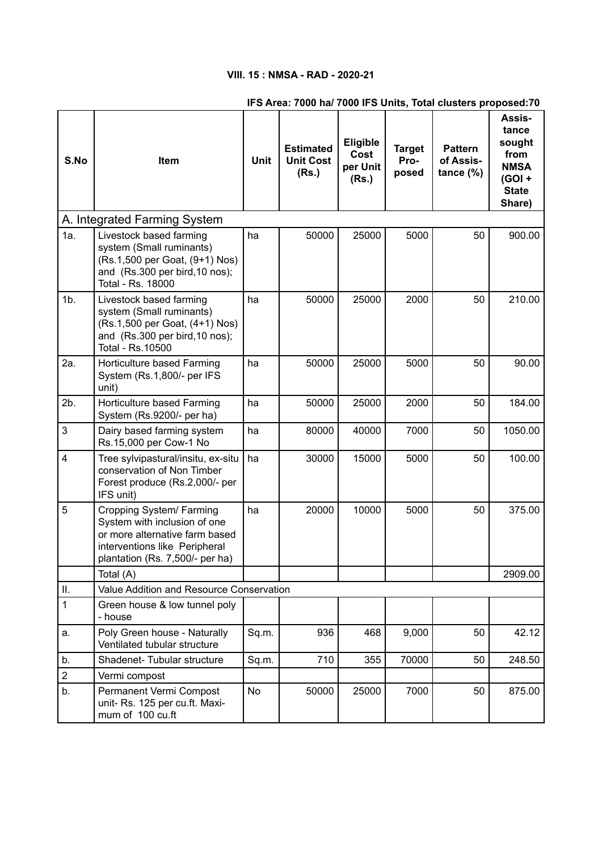# **VIII. 15 : NMSA - RAD - 2020-21**

## **IFS Area: 7000 ha/ 7000 IFS Units, Total clusters proposed:70**

|                              |                                                                                                                                                                |             |                                               |                                              |                                |                                             | Assis-                                                                       |
|------------------------------|----------------------------------------------------------------------------------------------------------------------------------------------------------------|-------------|-----------------------------------------------|----------------------------------------------|--------------------------------|---------------------------------------------|------------------------------------------------------------------------------|
| S.No                         | Item                                                                                                                                                           | <b>Unit</b> | <b>Estimated</b><br><b>Unit Cost</b><br>(Rs.) | <b>Eligible</b><br>Cost<br>per Unit<br>(Rs.) | <b>Target</b><br>Pro-<br>posed | <b>Pattern</b><br>of Assis-<br>tance $(\%)$ | tance<br>sought<br>from<br><b>NMSA</b><br>$(GOI +$<br><b>State</b><br>Share) |
| A. Integrated Farming System |                                                                                                                                                                |             |                                               |                                              |                                |                                             |                                                                              |
| 1a.                          | Livestock based farming<br>system (Small ruminants)<br>(Rs.1,500 per Goat, (9+1) Nos)<br>and (Rs.300 per bird, 10 nos);<br>Total - Rs. 18000                   | ha          | 50000                                         | 25000                                        | 5000                           | 50                                          | 900.00                                                                       |
| $1b$ .                       | Livestock based farming<br>system (Small ruminants)<br>(Rs.1,500 per Goat, (4+1) Nos)<br>and (Rs.300 per bird, 10 nos);<br>Total - Rs.10500                    | ha          | 50000                                         | 25000                                        | 2000                           | 50                                          | 210.00                                                                       |
| 2a.                          | Horticulture based Farming<br>System (Rs.1,800/- per IFS<br>unit)                                                                                              | ha          | 50000                                         | 25000                                        | 5000                           | 50                                          | 90.00                                                                        |
| 2b.                          | Horticulture based Farming<br>System (Rs.9200/- per ha)                                                                                                        | ha          | 50000                                         | 25000                                        | 2000                           | 50                                          | 184.00                                                                       |
| 3                            | Dairy based farming system<br>Rs.15,000 per Cow-1 No                                                                                                           | ha          | 80000                                         | 40000                                        | 7000                           | 50                                          | 1050.00                                                                      |
| 4                            | Tree sylvipastural/insitu, ex-situ<br>conservation of Non Timber<br>Forest produce (Rs.2,000/- per<br>IFS unit)                                                | ha          | 30000                                         | 15000                                        | 5000                           | 50                                          | 100.00                                                                       |
| 5                            | Cropping System/ Farming<br>System with inclusion of one<br>or more alternative farm based<br>interventions like Peripheral<br>plantation (Rs. 7,500/- per ha) | ha          | 20000                                         | 10000                                        | 5000                           | 50                                          | 375.00                                                                       |
|                              | Total (A)                                                                                                                                                      |             |                                               |                                              |                                |                                             | 2909.00                                                                      |
| Ш.                           | Value Addition and Resource Conservation                                                                                                                       |             |                                               |                                              |                                |                                             |                                                                              |
| $\mathbf{1}$                 | Green house & low tunnel poly<br>- house                                                                                                                       |             |                                               |                                              |                                |                                             |                                                                              |
| a.                           | Poly Green house - Naturally<br>Ventilated tubular structure                                                                                                   | Sq.m.       | 936                                           | 468                                          | 9,000                          | 50                                          | 42.12                                                                        |
| b.                           | Shadenet- Tubular structure                                                                                                                                    | Sq.m.       | 710                                           | 355                                          | 70000                          | 50                                          | 248.50                                                                       |
| $\overline{2}$               | Vermi compost                                                                                                                                                  |             |                                               |                                              |                                |                                             |                                                                              |
| b.                           | Permanent Vermi Compost<br>unit- Rs. 125 per cu.ft. Maxi-<br>mum of 100 cu.ft                                                                                  | No          | 50000                                         | 25000                                        | 7000                           | 50                                          | 875.00                                                                       |